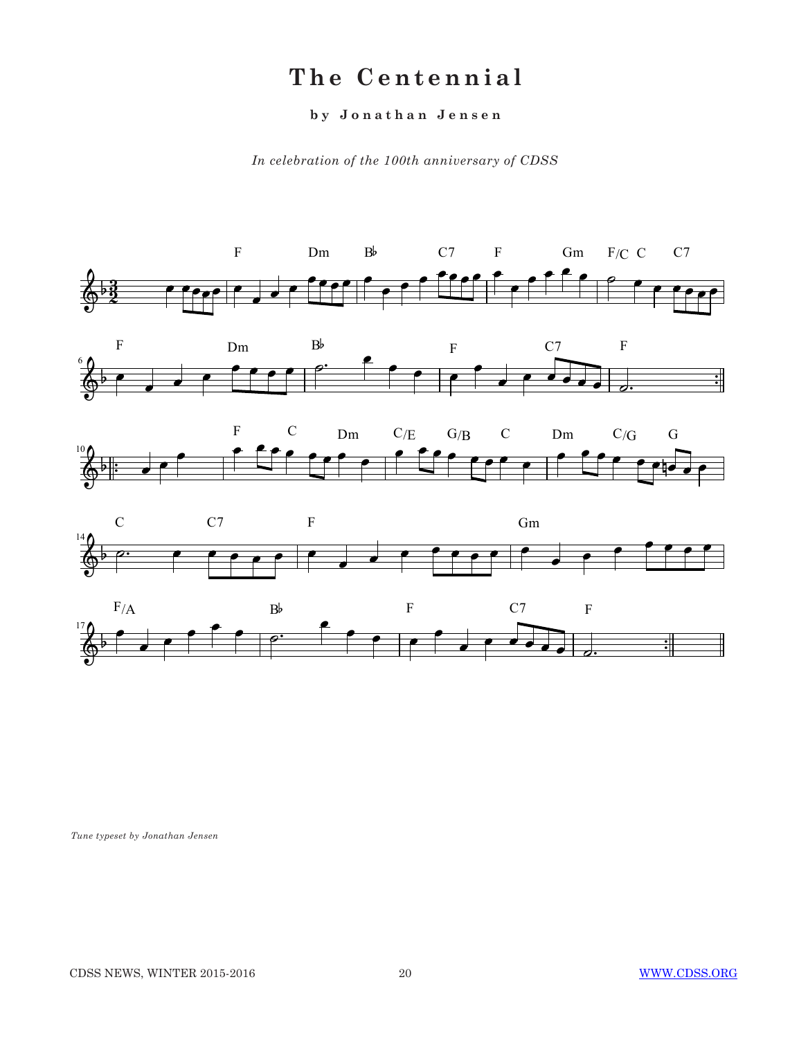# **The Centennial**

### **by Jonathan Jensen**

*In celebration of the 100th anniversary of CDSS* 



*Tune typeset by Jonathan Jensen*